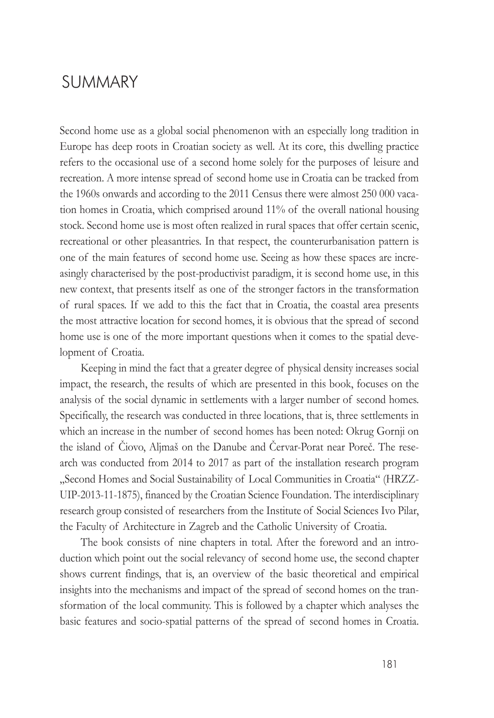## **SUMMARY**

Second home use as a global social phenomenon with an especially long tradition in Europe has deep roots in Croatian society as well. At its core, this dwelling practice refers to the occasional use of a second home solely for the purposes of leisure and recreation. A more intense spread of second home use in Croatia can be tracked from the 1960s onwards and according to the 2011 Census there were almost 250 000 vacation homes in Croatia, which comprised around 11% of the overall national housing stock. Second home use is most often realized in rural spaces that offer certain scenic, recreational or other pleasantries. In that respect, the counterurbanisation pattern is one of the main features of second home use. Seeing as how these spaces are increasingly characterised by the post-productivist paradigm, it is second home use, in this new context, that presents itself as one of the stronger factors in the transformation of rural spaces. If we add to this the fact that in Croatia, the coastal area presents the most attractive location for second homes, it is obvious that the spread of second home use is one of the more important questions when it comes to the spatial development of Croatia.

Keeping in mind the fact that a greater degree of physical density increases social impact, the research, the results of which are presented in this book, focuses on the analysis of the social dynamic in settlements with a larger number of second homes. Specifically, the research was conducted in three locations, that is, three settlements in which an increase in the number of second homes has been noted: Okrug Gornji on the island of Čiovo, Aljmaš on the Danube and Červar-Porat near Poreč. The research was conducted from 2014 to 2017 as part of the installation research program "Second Homes and Social Sustainability of Local Communities in Croatia" (HRZZ-UIP-2013-11-1875), financed by the Croatian Science Foundation. The interdisciplinary research group consisted of researchers from the Institute of Social Sciences Ivo Pilar, the Faculty of Architecture in Zagreb and the Catholic University of Croatia.

The book consists of nine chapters in total. After the foreword and an introduction which point out the social relevancy of second home use, the second chapter shows current findings, that is, an overview of the basic theoretical and empirical insights into the mechanisms and impact of the spread of second homes on the transformation of the local community. This is followed by a chapter which analyses the basic features and socio-spatial patterns of the spread of second homes in Croatia.